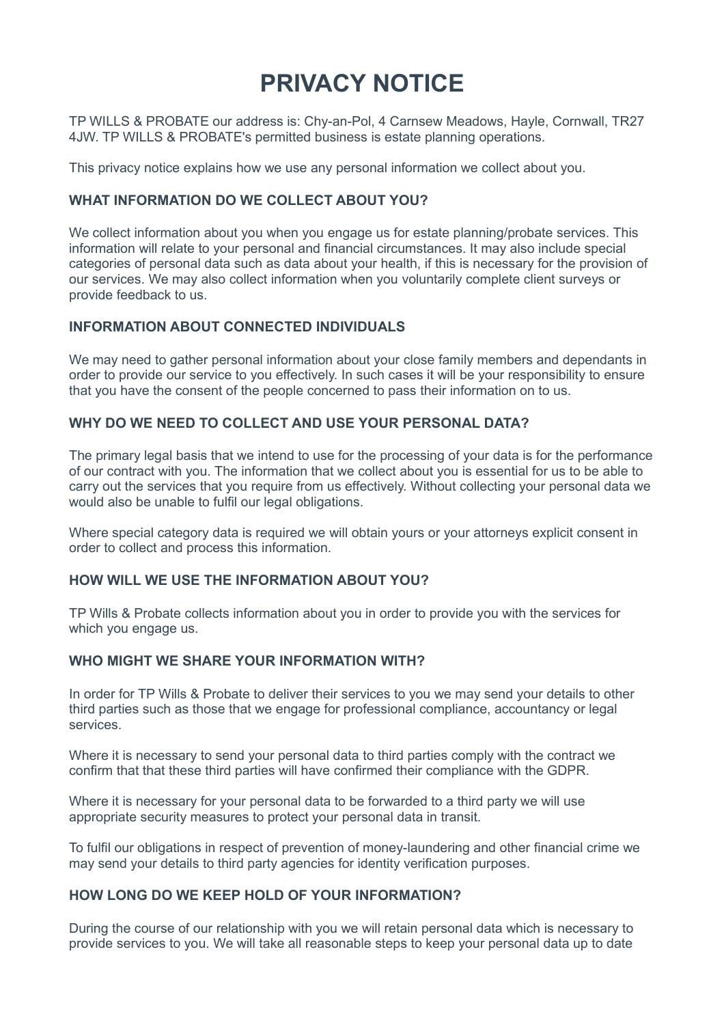# **PRIVACY NOTICE**

TP WILLS & PROBATE our address is: Chy-an-Pol, 4 Carnsew Meadows, Hayle, Cornwall, TR27 4JW. TP WILLS & PROBATE's permitted business is estate planning operations.

This privacy notice explains how we use any personal information we collect about you.

# **WHAT INFORMATION DO WE COLLECT ABOUT YOU?**

We collect information about you when you engage us for estate planning/probate services. This information will relate to your personal and financial circumstances. It may also include special categories of personal data such as data about your health, if this is necessary for the provision of our services. We may also collect information when you voluntarily complete client surveys or provide feedback to us.

## **INFORMATION ABOUT CONNECTED INDIVIDUALS**

We may need to gather personal information about your close family members and dependants in order to provide our service to you effectively. In such cases it will be your responsibility to ensure that you have the consent of the people concerned to pass their information on to us.

## **WHY DO WE NEED TO COLLECT AND USE YOUR PERSONAL DATA?**

The primary legal basis that we intend to use for the processing of your data is for the performance of our contract with you. The information that we collect about you is essential for us to be able to carry out the services that you require from us effectively. Without collecting your personal data we would also be unable to fulfil our legal obligations.

Where special category data is required we will obtain yours or your attorneys explicit consent in order to collect and process this information.

## **HOW WILL WE USE THE INFORMATION ABOUT YOU?**

TP Wills & Probate collects information about you in order to provide you with the services for which you engage us.

## **WHO MIGHT WE SHARE YOUR INFORMATION WITH?**

In order for TP Wills & Probate to deliver their services to you we may send your details to other third parties such as those that we engage for professional compliance, accountancy or legal services.

Where it is necessary to send your personal data to third parties comply with the contract we confirm that that these third parties will have confirmed their compliance with the GDPR.

Where it is necessary for your personal data to be forwarded to a third party we will use appropriate security measures to protect your personal data in transit.

To fulfil our obligations in respect of prevention of money-laundering and other financial crime we may send your details to third party agencies for identity verification purposes.

## **HOW LONG DO WE KEEP HOLD OF YOUR INFORMATION?**

During the course of our relationship with you we will retain personal data which is necessary to provide services to you. We will take all reasonable steps to keep your personal data up to date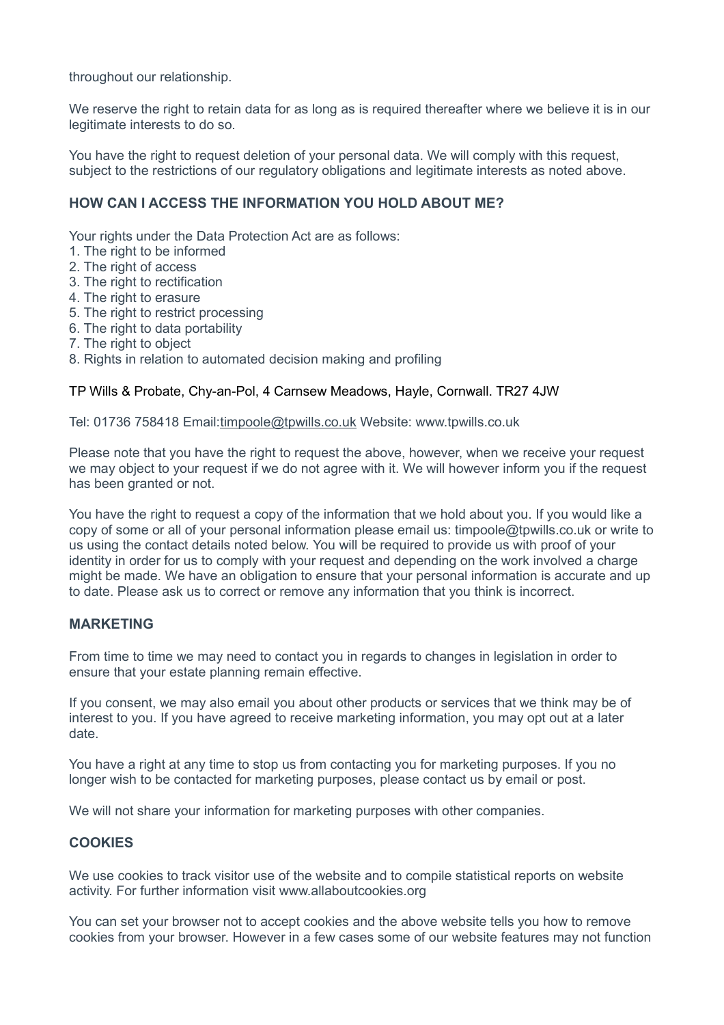throughout our relationship.

We reserve the right to retain data for as long as is required thereafter where we believe it is in our legitimate interests to do so.

You have the right to request deletion of your personal data. We will comply with this request, subject to the restrictions of our regulatory obligations and legitimate interests as noted above.

## **HOW CAN I ACCESS THE INFORMATION YOU HOLD ABOUT ME?**

Your rights under the Data Protection Act are as follows:

- 1. The right to be informed
- 2. The right of access
- 3. The right to rectification
- 4. The right to erasure
- 5. The right to restrict processing
- 6. The right to data portability
- 7. The right to object
- 8. Rights in relation to automated decision making and profiling

#### TP Wills & Probate, Chy-an-Pol, 4 Carnsew Meadows, Hayle, Cornwall. TR27 4JW

Tel: 01736 758418 Email[:timpoole@tpwills.co.uk](mailto:timpoole@tpwills.co.uk) Website: www.tpwills.co.uk

Please note that you have the right to request the above, however, when we receive your request we may object to your request if we do not agree with it. We will however inform you if the request has been granted or not.

You have the right to request a copy of the information that we hold about you. If you would like a copy of some or all of your personal information please email us: timpoole@tpwills.co.uk or write to us using the contact details noted below. You will be required to provide us with proof of your identity in order for us to comply with your request and depending on the work involved a charge might be made. We have an obligation to ensure that your personal information is accurate and up to date. Please ask us to correct or remove any information that you think is incorrect.

#### **MARKETING**

From time to time we may need to contact you in regards to changes in legislation in order to ensure that your estate planning remain effective.

If you consent, we may also email you about other products or services that we think may be of interest to you. If you have agreed to receive marketing information, you may opt out at a later date.

You have a right at any time to stop us from contacting you for marketing purposes. If you no longer wish to be contacted for marketing purposes, please contact us by email or post.

We will not share your information for marketing purposes with other companies.

#### **COOKIES**

We use cookies to track visitor use of the website and to compile statistical reports on website activity. For further information visit www.allaboutcookies.org

You can set your browser not to accept cookies and the above website tells you how to remove cookies from your browser. However in a few cases some of our website features may not function